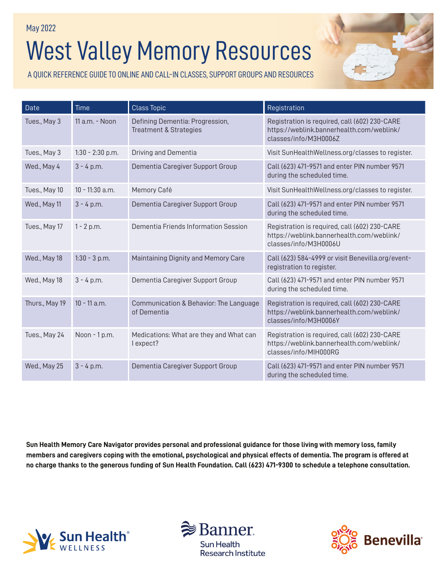# West Valley Memory Resources May 2022

A QUICK REFERENCE GUIDE TO ONLINE AND CALL-IN CLASSES, SUPPORT GROUPS AND RESOURCES



| Date           | Time               | <b>Class Topic</b>                                                   | Registration                                                                                                        |
|----------------|--------------------|----------------------------------------------------------------------|---------------------------------------------------------------------------------------------------------------------|
| Tues., May 3   | $11$ a.m. - Noon   | Defining Dementia: Progression,<br><b>Treatment &amp; Strategies</b> | Registration is required, call (602) 230-CARE<br>https://weblink.bannerhealth.com/weblink/<br>classes/info/M3H0006Z |
| Tues., May 3   | $1:30 - 2:30$ p.m. | <b>Driving and Dementia</b>                                          | Visit SunHealthWellness.org/classes to register.                                                                    |
| Wed., May 4    | $3 - 4 p.m.$       | Dementia Caregiver Support Group                                     | Call (623) 471-9571 and enter PIN number 9571<br>during the scheduled time.                                         |
| Tues., May 10  | $10 - 11:30$ a.m.  | Memory Café                                                          | Visit SunHealthWellness.org/classes to register.                                                                    |
| Wed., May 11   | $3 - 4 p.m.$       | Dementia Caregiver Support Group                                     | Call (623) 471-9571 and enter PIN number 9571<br>during the scheduled time.                                         |
| Tues., May 17  | $1 - 2 p.m.$       | Dementia Friends Information Session                                 | Registration is required, call (602) 230-CARE<br>https://weblink.bannerhealth.com/weblink/<br>classes/info/M3H0006U |
| Wed., May 18   | $1:30 - 3 p.m.$    | Maintaining Dignity and Memory Care                                  | Call (623) 584-4999 or visit Benevilla.org/event-<br>registration to register.                                      |
| Wed., May 18   | $3 - 4 p.m.$       | Dementia Caregiver Support Group                                     | Call (623) 471-9571 and enter PIN number 9571<br>during the scheduled time.                                         |
| Thurs., May 19 | $10 - 11$ a.m.     | Communication & Behavior: The Language<br>of Dementia                | Registration is required, call (602) 230-CARE<br>https://weblink.bannerhealth.com/weblink/<br>classes/info/M3H0006Y |
| Tues., May 24  | Noon - 1 p.m.      | Medications: What are they and What can<br>I expect?                 | Registration is required, call (602) 230-CARE<br>https://weblink.bannerhealth.com/weblink/<br>classes/info/MIH000RG |
| Wed., May 25   | $3 - 4 p.m.$       | Dementia Caregiver Support Group                                     | Call (623) 471-9571 and enter PIN number 9571<br>during the scheduled time.                                         |

**Sun Health Memory Care Navigator provides personal and professional guidance for those living with memory loss, family members and caregivers coping with the emotional, psychological and physical effects of dementia. The program is offered at no charge thanks to the generous funding of Sun Health Foundation. Call (623) 471-9300 to schedule a telephone consultation.**